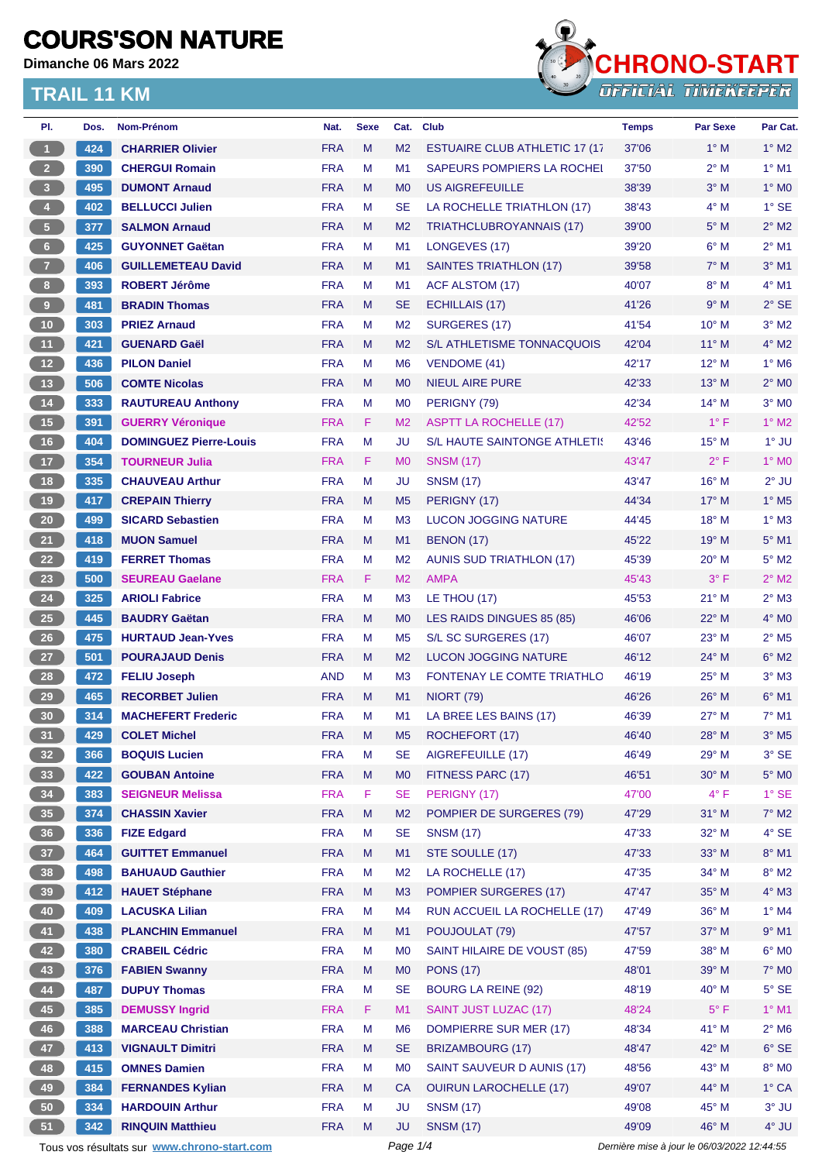**Dimanche 06 Mars 2022**



| PI.                                         | Dos. | Nom-Prénom                    | Nat.       | <b>Sexe</b> | Cat.                                        | <b>Club</b>                           | <b>Temps</b> | <b>Par Sexe</b> | Par Cat.                   |
|---------------------------------------------|------|-------------------------------|------------|-------------|---------------------------------------------|---------------------------------------|--------------|-----------------|----------------------------|
| $\mathbf{1}$                                | 424  | <b>CHARRIER Olivier</b>       | <b>FRA</b> | M           | M <sub>2</sub>                              | <b>ESTUAIRE CLUB ATHLETIC 17 (17)</b> | 37'06        | $1^\circ$ M     | $1^\circ$ M2               |
| $2 -$                                       | 390  | <b>CHERGUI Romain</b>         | <b>FRA</b> | M           | M <sub>1</sub>                              | <b>SAPEURS POMPIERS LA ROCHEL</b>     | 37'50        | $2^{\circ}$ M   | $1^\circ$ M1               |
| 3 <sup>7</sup>                              | 495  | <b>DUMONT Arnaud</b>          | <b>FRA</b> | M           | M <sub>0</sub>                              | <b>US AIGREFEUILLE</b>                | 38'39        | $3^\circ$ M     | $1^\circ$ MO               |
| 4 <sup>1</sup>                              | 402  | <b>BELLUCCI Julien</b>        | <b>FRA</b> | M           | <b>SE</b>                                   | LA ROCHELLE TRIATHLON (17)            | 38'43        | 4° M            | $1^\circ$ SE               |
| $\sqrt{5}$                                  | 377  | <b>SALMON Arnaud</b>          | <b>FRA</b> | M           | M <sub>2</sub>                              | TRIATHCLUBROYANNAIS (17)              | 39'00        | $5^\circ$ M     | $2^{\circ}$ M2             |
| $6 -$                                       | 425  | <b>GUYONNET Gaëtan</b>        | <b>FRA</b> | M           | M <sub>1</sub>                              | LONGEVES (17)                         | 39'20        | $6^{\circ}$ M   | $2^{\circ}$ M1             |
| 7 <sup>2</sup>                              | 406  | <b>GUILLEMETEAU David</b>     | <b>FRA</b> | M           | M1                                          | <b>SAINTES TRIATHLON (17)</b>         | 39'58        | $7^\circ$ M     | $3°$ M1                    |
| $\bf{8}$                                    | 393  | <b>ROBERT Jérôme</b>          | <b>FRA</b> | M           | M <sub>1</sub>                              | <b>ACF ALSTOM (17)</b>                | 40'07        | $8^\circ$ M     | $4^\circ$ M1               |
| 9 <sup>°</sup>                              | 481  | <b>BRADIN Thomas</b>          | <b>FRA</b> | M           | <b>SE</b>                                   | <b>ECHILLAIS (17)</b>                 | 41'26        | 9° M            | $2°$ SE                    |
| 10 <sub>1</sub>                             | 303  | <b>PRIEZ Arnaud</b>           | <b>FRA</b> | M           | M <sub>2</sub>                              | SURGERES (17)                         | 41'54        | $10^{\circ}$ M  | $3^\circ$ M2               |
| 11                                          | 421  | <b>GUENARD Gaël</b>           | <b>FRA</b> | M           | M <sub>2</sub>                              | S/L ATHLETISME TONNACQUOIS            | 42'04        | $11^{\circ}$ M  | 4° M2                      |
| 12                                          | 436  | <b>PILON Daniel</b>           | <b>FRA</b> | M           | M <sub>6</sub>                              | VENDOME (41)                          | 42'17        | $12^{\circ}$ M  | $1^\circ$ M <sub>6</sub>   |
| $13$                                        | 506  | <b>COMTE Nicolas</b>          | <b>FRA</b> | M           | M <sub>0</sub>                              | <b>NIEUL AIRE PURE</b>                | 42'33        | $13^\circ$ M    | $2^{\circ}$ MO             |
| 14                                          | 333  | <b>RAUTUREAU Anthony</b>      | <b>FRA</b> | M           | M <sub>0</sub>                              | PERIGNY (79)                          | 42'34        | $14^{\circ}$ M  | $3°$ MO                    |
| 15                                          | 391  | <b>GUERRY Véronique</b>       | <b>FRA</b> | F           | M <sub>2</sub>                              | <b>ASPTT LA ROCHELLE (17)</b>         | 42'52        | $1^{\circ}$ F   | $1^\circ$ M2               |
| $16$                                        | 404  | <b>DOMINGUEZ Pierre-Louis</b> | <b>FRA</b> | M           | JU                                          | <b>S/L HAUTE SAINTONGE ATHLETIS</b>   | 43'46        | $15^{\circ}$ M  | $1^\circ$ JU               |
| 17 <sup>2</sup>                             | 354  | <b>TOURNEUR Julia</b>         | <b>FRA</b> | F           | M <sub>0</sub>                              | <b>SNSM (17)</b>                      | 43'47        | $2^{\circ}$ F   | 1° MO                      |
| 18                                          | 335  | <b>CHAUVEAU Arthur</b>        | <b>FRA</b> | M           | JU                                          | <b>SNSM (17)</b>                      | 43'47        | $16^{\circ}$ M  | $2^{\circ}$ JU             |
| 19                                          | 417  | <b>CREPAIN Thierry</b>        | <b>FRA</b> | M           | M <sub>5</sub>                              | PERIGNY (17)                          | 44'34        | $17^\circ$ M    | $1^\circ$ M <sub>5</sub>   |
| $20\degree$                                 | 499  | <b>SICARD Sebastien</b>       | <b>FRA</b> | M           | M <sub>3</sub>                              | <b>LUCON JOGGING NATURE</b>           | 44'45        | $18^{\circ}$ M  | $1^\circ$ M3               |
| 21                                          | 418  | <b>MUON Samuel</b>            | <b>FRA</b> | M           | M1                                          | <b>BENON (17)</b>                     | 45'22        | $19^{\circ}$ M  | $5^\circ$ M1               |
| 22                                          | 419  | <b>FERRET Thomas</b>          | <b>FRA</b> | M           | M <sub>2</sub>                              | <b>AUNIS SUD TRIATHLON (17)</b>       | 45'39        | $20^{\circ}$ M  | $5^\circ$ M2               |
|                                             |      |                               |            |             |                                             |                                       |              |                 |                            |
| 23                                          | 500  | <b>SEUREAU Gaelane</b>        | <b>FRA</b> | F           | M <sub>2</sub>                              | <b>AMPA</b>                           | 45'43        | $3^{\circ}$ F   | $2^{\circ}$ M2             |
| 24                                          | 325  | <b>ARIOLI Fabrice</b>         | <b>FRA</b> | M           | M <sub>3</sub>                              | LE THOU (17)                          | 45'53        | $21^{\circ}$ M  | $2^{\circ}$ M3             |
| 25                                          | 445  | <b>BAUDRY Gaëtan</b>          | <b>FRA</b> | M           | M <sub>0</sub>                              | LES RAIDS DINGUES 85 (85)             | 46'06        | $22^{\circ}$ M  | 4° MO                      |
| 26                                          | 475  | <b>HURTAUD Jean-Yves</b>      | <b>FRA</b> | M           | M <sub>5</sub>                              | S/L SC SURGERES (17)                  | 46'07        | $23^{\circ}$ M  | $2^{\circ}$ M <sub>5</sub> |
| 27                                          | 501  | <b>POURAJAUD Denis</b>        | <b>FRA</b> | M           | M <sub>2</sub>                              | <b>LUCON JOGGING NATURE</b>           | 46'12        | 24° M           | $6^\circ$ M2               |
| 28                                          | 472  | <b>FELIU Joseph</b>           | AND        | М           | M <sub>3</sub>                              | FONTENAY LE COMTE TRIATHLO            | 46'19        | $25^{\circ}$ M  | $3°$ M $3$                 |
| 29                                          | 465  | <b>RECORBET Julien</b>        | <b>FRA</b> | M           | M1                                          | <b>NIORT (79)</b>                     | 46'26        | $26^{\circ}$ M  | $6^\circ$ M1               |
| 30                                          | 314  | <b>MACHEFERT Frederic</b>     | <b>FRA</b> | M           | M <sub>1</sub>                              | LA BREE LES BAINS (17)                | 46'39        | 27° M           | 7° M1                      |
| 31)                                         | 429  | <b>COLET Michel</b>           | <b>FRA</b> | M           | M <sub>5</sub>                              | ROCHEFORT (17)                        | 46'40        | 28° M           | $3^\circ$ M <sub>5</sub>   |
| 32 <sub>2</sub>                             | 366  | <b>BOQUIS Lucien</b>          | <b>FRA</b> | M           | SE                                          | AIGREFEUILLE (17)                     | 46'49        | 29° M           | $3^\circ$ SE               |
| 33                                          | 422  | <b>GOUBAN Antoine</b>         | <b>FRA</b> | M           | M <sub>0</sub>                              | FITNESS PARC (17)                     | 46'51        | $30^\circ$ M    | $5^\circ$ MO               |
| 34                                          | 383  | <b>SEIGNEUR Melissa</b>       | <b>FRA</b> | F.          | <b>SE</b>                                   | PERIGNY (17)                          | 47'00        | $4^{\circ}$ F   | $1^\circ$ SE               |
| 35                                          | 374  | <b>CHASSIN Xavier</b>         | <b>FRA</b> | M           | M <sub>2</sub>                              | POMPIER DE SURGERES (79)              | 47'29        | $31^\circ$ M    | $7^\circ$ M2               |
| 36 <sup>°</sup>                             | 336  | <b>FIZE Edgard</b>            | <b>FRA</b> | M           | <b>SE</b>                                   | <b>SNSM (17)</b>                      | 47'33        | 32° M           | $4^\circ$ SE               |
| 37 <sup>°</sup>                             | 464  | <b>GUITTET Emmanuel</b>       | <b>FRA</b> | M           | M1                                          | STE SOULLE (17)                       | 47'33        | $33^\circ$ M    | $8^\circ$ M1               |
| 38                                          | 498  | <b>BAHUAUD Gauthier</b>       | <b>FRA</b> | M           | M <sub>2</sub>                              | LA ROCHELLE (17)                      | 47'35        | 34° M           | $8^\circ$ M2               |
| 39                                          | 412  | <b>HAUET Stéphane</b>         | <b>FRA</b> | M           | M3                                          | <b>POMPIER SURGERES (17)</b>          | 47'47        | 35° M           | 4° M3                      |
| 40                                          | 409  | <b>LACUSKA Lilian</b>         | <b>FRA</b> | M           | M4                                          | RUN ACCUEIL LA ROCHELLE (17)          | 47'49        | 36° M           | $1^\circ$ M4               |
| 41                                          | 438  | <b>PLANCHIN Emmanuel</b>      | <b>FRA</b> | M           | M1                                          | POUJOULAT (79)                        | 47'57        | 37° M           | $9°$ M1                    |
| 42                                          | 380  | <b>CRABEIL Cédric</b>         | <b>FRA</b> | M           | M <sub>0</sub>                              | SAINT HILAIRE DE VOUST (85)           | 47'59        | $38^\circ$ M    | $6^\circ$ MO               |
| 43                                          | 376  | <b>FABIEN Swanny</b>          | <b>FRA</b> | M           | M <sub>0</sub>                              | <b>PONS (17)</b>                      | 48'01        | $39^\circ$ M    | $7^\circ$ MO               |
| 44                                          | 487  | <b>DUPUY Thomas</b>           | <b>FRA</b> | M           | <b>SE</b>                                   | <b>BOURG LA REINE (92)</b>            | 48'19        | 40° M           | $5^\circ$ SE               |
| 45                                          | 385  | <b>DEMUSSY Ingrid</b>         | <b>FRA</b> | F           | M1                                          | <b>SAINT JUST LUZAC (17)</b>          | 48'24        | $5^{\circ}$ F   | $1^\circ$ M1               |
| 46                                          | 388  | <b>MARCEAU Christian</b>      | <b>FRA</b> | M           | M <sub>6</sub>                              | DOMPIERRE SUR MER (17)                | 48'34        | $41^{\circ}$ M  | $2^\circ$ M6               |
| 47                                          | 413  | <b>VIGNAULT Dimitri</b>       | <b>FRA</b> | M           | <b>SE</b>                                   | <b>BRIZAMBOURG (17)</b>               | 48'47        | 42° M           | $6^\circ$ SE               |
| 48                                          | 415  | <b>OMNES Damien</b>           | <b>FRA</b> | M           | M <sub>0</sub>                              | SAINT SAUVEUR D AUNIS (17)            | 48'56        | 43° M           | $8^\circ$ MO               |
| 49                                          | 384  | <b>FERNANDES Kylian</b>       | <b>FRA</b> | M           | СA                                          | <b>OUIRUN LAROCHELLE (17)</b>         | 49'07        | 44° M           | $1^\circ$ CA               |
| 50                                          | 334  | <b>HARDOUIN Arthur</b>        | <b>FRA</b> | М           | JU                                          | <b>SNSM (17)</b>                      | 49'08        | 45° M           | $3°$ JU                    |
| 51                                          | 342  | <b>RINQUIN Matthieu</b>       | <b>FRA</b> | M           | <b>JU</b>                                   | <b>SNSM (17)</b>                      | 49'09        | $46^{\circ}$ M  | $4^\circ$ JU               |
| Tous vos résultats sur www.chrono-start.com |      |                               | Page 1/4   |             | Dernière mise à jour le 06/03/2022 12:44:55 |                                       |              |                 |                            |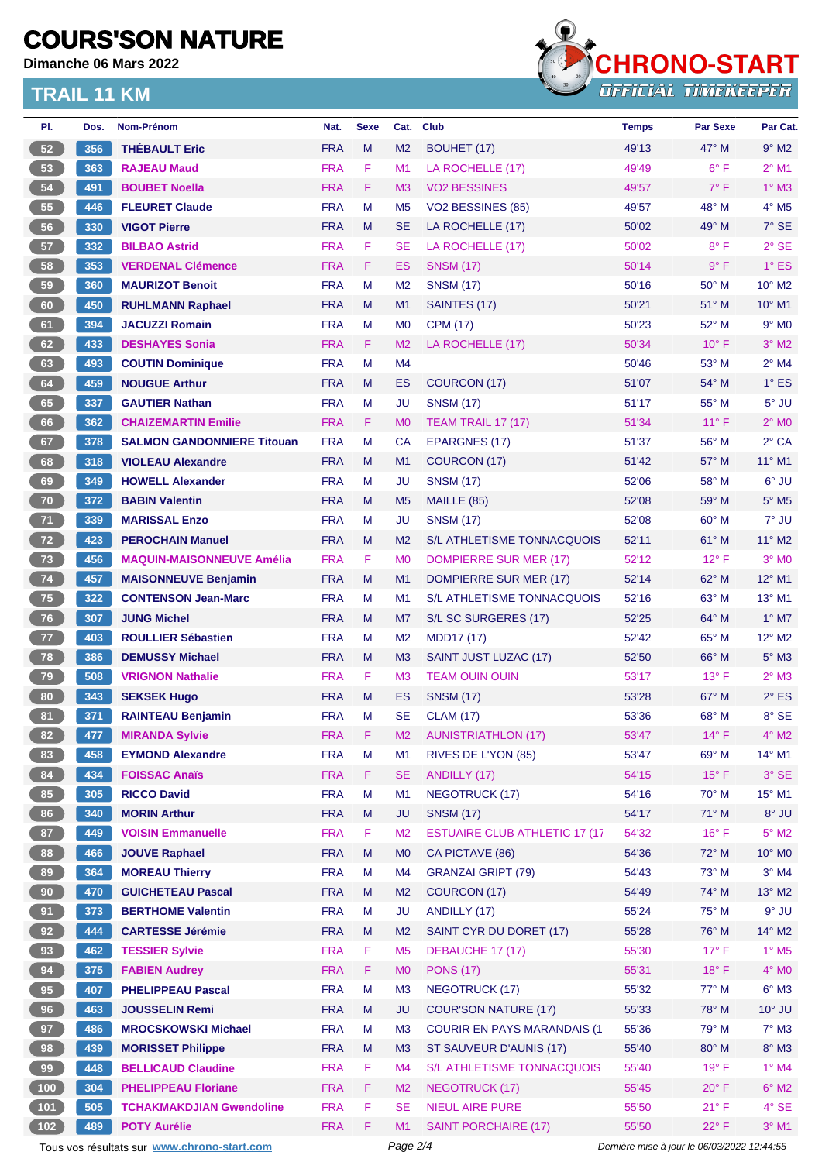**Dimanche 06 Mars 2022**



| PI.             | Dos. | Nom-Prénom                                  | Nat.       | <b>Sexe</b> | Cat.           | <b>Club</b>                          | <b>Temps</b>                                | Par Sexe       | Par Cat.                 |
|-----------------|------|---------------------------------------------|------------|-------------|----------------|--------------------------------------|---------------------------------------------|----------------|--------------------------|
| 52              | 356  | <b>THEBAULT Eric</b>                        | <b>FRA</b> | M           | M <sub>2</sub> | <b>BOUHET (17)</b>                   | 49'13                                       | $47^\circ$ M   | $9°$ M <sub>2</sub>      |
| 53              | 363  | <b>RAJEAU Maud</b>                          | <b>FRA</b> | F           | M1             | LA ROCHELLE (17)                     | 49'49                                       | $6^{\circ}$ F  | $2^{\circ}$ M1           |
| 54              | 491  | <b>BOUBET Noella</b>                        | <b>FRA</b> | F           | MЗ             | <b>VO2 BESSINES</b>                  | 49'57                                       | $7^\circ$ F    | $1^\circ$ M3             |
| 55              | 446  | <b>FLEURET Claude</b>                       | <b>FRA</b> | M           | M <sub>5</sub> | VO2 BESSINES (85)                    | 49'57                                       | 48° M          | $4^\circ$ M <sub>5</sub> |
| 56              | 330  | <b>VIGOT Pierre</b>                         | <b>FRA</b> | M           | <b>SE</b>      | LA ROCHELLE (17)                     | 50'02                                       | $49^\circ$ M   | $7°$ SE                  |
| 57              | 332  | <b>BILBAO Astrid</b>                        | <b>FRA</b> | F           | <b>SE</b>      | LA ROCHELLE (17)                     | 50'02                                       | $8^{\circ}$ F  | $2°$ SE                  |
| 58              | 353  | <b>VERDENAL Clémence</b>                    | <b>FRA</b> | F           | ES             | <b>SNSM (17)</b>                     | 50'14                                       | $9^{\circ}$ F  | $1^\circ$ ES             |
| 59              | 360  | <b>MAURIZOT Benoit</b>                      | <b>FRA</b> | M           | M <sub>2</sub> | <b>SNSM (17)</b>                     | 50'16                                       | 50° M          | $10^{\circ}$ M2          |
| 60              | 450  | <b>RUHLMANN Raphael</b>                     | <b>FRA</b> | M           | M1             | SAINTES (17)                         | 50'21                                       | $51^\circ$ M   | $10^{\circ}$ M1          |
| 61              | 394  | <b>JACUZZI Romain</b>                       | <b>FRA</b> | M           | M <sub>0</sub> | <b>CPM (17)</b>                      | 50'23                                       | 52° M          | $9°$ M <sub>0</sub>      |
| 62              | 433  | <b>DESHAYES Sonia</b>                       | <b>FRA</b> | F           | M <sub>2</sub> | LA ROCHELLE (17)                     | 50'34                                       | $10^{\circ}$ F | $3°$ M2                  |
| 63              | 493  | <b>COUTIN Dominique</b>                     | <b>FRA</b> | M           | M4             |                                      | 50'46                                       | 53° M          | $2^{\circ}$ M4           |
| 64              | 459  | <b>NOUGUE Arthur</b>                        | <b>FRA</b> | M           | ES             | COURCON (17)                         | 51'07                                       | $54^{\circ}$ M | $1^\circ$ ES             |
| 65              | 337  | <b>GAUTIER Nathan</b>                       | <b>FRA</b> | M           | JU             | <b>SNSM (17)</b>                     | 51'17                                       | $55^{\circ}$ M | $5^\circ$ JU             |
| 66              | 362  | <b>CHAIZEMARTIN Emilie</b>                  | <b>FRA</b> | F           | M <sub>0</sub> | <b>TEAM TRAIL 17 (17)</b>            | 51'34                                       | $11^{\circ}$ F | $2^{\circ}$ MO           |
| 67              | 378  | <b>SALMON GANDONNIERE Titouan</b>           | <b>FRA</b> | M           | <b>CA</b>      | <b>EPARGNES (17)</b>                 | 51'37                                       | $56^{\circ}$ M | $2°$ CA                  |
| 68              | 318  | <b>VIOLEAU Alexandre</b>                    | <b>FRA</b> | M           | M1             | COURCON (17)                         | 51'42                                       | 57° M          | $11^{\circ}$ M1          |
| 69              | 349  | <b>HOWELL Alexander</b>                     | <b>FRA</b> | M           | JU             | <b>SNSM (17)</b>                     | 52'06                                       | 58° M          | $6^{\circ}$ JU           |
| 70              | 372  | <b>BABIN Valentin</b>                       | <b>FRA</b> | M           | M <sub>5</sub> | MAILLE (85)                          | 52'08                                       | 59° M          | $5^\circ$ M5             |
| 71              | 339  | <b>MARISSAL Enzo</b>                        | <b>FRA</b> | M           | JU             | <b>SNSM (17)</b>                     | 52'08                                       | $60^{\circ}$ M | 7° JU                    |
| 72              | 423  | <b>PEROCHAIN Manuel</b>                     | <b>FRA</b> | M           | M <sub>2</sub> | S/L ATHLETISME TONNACQUOIS           | 52'11                                       | 61° M          | 11° M2                   |
| 73              | 456  | <b>MAQUIN-MAISONNEUVE Amélia</b>            | <b>FRA</b> | F           | M <sub>0</sub> | DOMPIERRE SUR MER (17)               | 52'12                                       | $12^{\circ}$ F | $3°$ M <sub>0</sub>      |
| 74              | 457  | <b>MAISONNEUVE Benjamin</b>                 | <b>FRA</b> | M           | M1             | DOMPIERRE SUR MER (17)               | 52'14                                       | 62° M          | 12° M1                   |
| 75              | 322  | <b>CONTENSON Jean-Marc</b>                  | <b>FRA</b> | M           | M <sub>1</sub> | S/L ATHLETISME TONNACQUOIS           | 52'16                                       | 63° M          | $13^{\circ}$ M1          |
| 76              | 307  | <b>JUNG Michel</b>                          | <b>FRA</b> | M           | M7             | S/L SC SURGERES (17)                 | 52'25                                       | 64° M          | $1^\circ$ M7             |
| $\overline{77}$ | 403  | <b>ROULLIER Sébastien</b>                   | <b>FRA</b> | M           | M <sub>2</sub> | MDD17 (17)                           | 52'42                                       | 65° M          | 12° M2                   |
| 78              | 386  | <b>DEMUSSY Michael</b>                      | <b>FRA</b> | M           | M <sub>3</sub> | SAINT JUST LUZAC (17)                | 52'50                                       | $66^{\circ}$ M | $5^\circ$ M3             |
| 79              | 508  | <b>VRIGNON Nathalie</b>                     | <b>FRA</b> | F           | M <sub>3</sub> | <b>TEAM OUIN OUIN</b>                | 53'17                                       | $13^{\circ}$ F | $2^{\circ}$ M3           |
| 80              | 343  | <b>SEKSEK Hugo</b>                          | <b>FRA</b> | M           | ES             | <b>SNSM (17)</b>                     | 53'28                                       | $67^\circ$ M   | $2^{\circ}$ ES           |
| 81              | 371  | <b>RAINTEAU Benjamin</b>                    | <b>FRA</b> | M           | <b>SE</b>      | <b>CLAM (17)</b>                     | 53'36                                       | 68° M          | 8° SE                    |
| 82              | 477  | <b>MIRANDA Sylvie</b>                       | <b>FRA</b> | F           | M <sub>2</sub> | <b>AUNISTRIATHLON (17)</b>           | 53'47                                       | $14^{\circ}$ F | $4^{\circ}$ M2           |
| 83              | 458  | <b>EYMOND Alexandre</b>                     | <b>FRA</b> | M           | M1             | RIVES DE L'YON (85)                  | 53'47                                       | 69° M          | 14° M1                   |
| 84              | 434  | <b>FOISSAC Anaïs</b>                        | <b>FRA</b> | F           | <b>SE</b>      | ANDILLY (17)                         | 54'15                                       | $15^{\circ}$ F | $3^\circ$ SE             |
| 85              | 305  | <b>RICCO David</b>                          | <b>FRA</b> | M           | M <sub>1</sub> | <b>NEGOTRUCK (17)</b>                | 54'16                                       | 70° M          | 15° M1                   |
| 86              | 340  | <b>MORIN Arthur</b>                         | <b>FRA</b> | ${\sf M}$   | <b>JU</b>      | <b>SNSM (17)</b>                     | 54'17                                       | 71° M          | 8° JU                    |
| 87              | 449  | <b>VOISIN Emmanuelle</b>                    | <b>FRA</b> | F           | M <sub>2</sub> | <b>ESTUAIRE CLUB ATHLETIC 17 (17</b> | 54'32                                       | $16^{\circ}$ F | $5^\circ$ M2             |
| 88              | 466  | <b>JOUVE Raphael</b>                        | <b>FRA</b> | M           | M <sub>0</sub> | CA PICTAVE (86)                      | 54'36                                       | 72° M          | 10° MO                   |
| 89              | 364  | <b>MOREAU Thierry</b>                       | <b>FRA</b> | M           | M4             | <b>GRANZAI GRIPT (79)</b>            | 54'43                                       | 73° M          | $3^{\circ}$ M4           |
| 90              | 470  | <b>GUICHETEAU Pascal</b>                    | <b>FRA</b> | M           | M <sub>2</sub> | COURCON (17)                         | 54'49                                       | 74° M          | 13° M2                   |
| 91              | 373  | <b>BERTHOME Valentin</b>                    | <b>FRA</b> | M           | JU             | ANDILLY (17)                         | 55'24                                       | 75° M          | $9°$ JU                  |
| 92              | 444  | <b>CARTESSE Jérémie</b>                     | <b>FRA</b> | M           | M <sub>2</sub> | SAINT CYR DU DORET (17)              | 55'28                                       | 76° M          | 14° M2                   |
| 93              | 462  | <b>TESSIER Sylvie</b>                       | <b>FRA</b> | F           | M <sub>5</sub> | DEBAUCHE 17 (17)                     | 55'30                                       | $17^\circ$ F   | $1^\circ$ M <sub>5</sub> |
| 94              | 375  | <b>FABIEN Audrey</b>                        | <b>FRA</b> | F           | M <sub>0</sub> | <b>PONS (17)</b>                     | 55'31                                       | $18^{\circ}$ F | $4^\circ$ MO             |
| 95              |      |                                             |            |             |                |                                      |                                             |                |                          |
|                 | 407  | <b>PHELIPPEAU Pascal</b>                    | <b>FRA</b> | M           | M <sub>3</sub> | <b>NEGOTRUCK (17)</b>                | 55'32                                       | 77° M          | $6^\circ$ M3             |
| 96              | 463  | <b>JOUSSELIN Remi</b>                       | <b>FRA</b> | M           | <b>JU</b>      | <b>COUR'SON NATURE (17)</b>          | 55'33                                       | 78° M          | $10^{\circ}$ JU          |
| 97              | 486  | <b>MROCSKOWSKI Michael</b>                  | <b>FRA</b> | M           | M <sub>3</sub> | <b>COURIR EN PAYS MARANDAIS (1)</b>  | 55'36                                       | 79° M          | $7°$ M3                  |
| 98              | 439  | <b>MORISSET Philippe</b>                    | <b>FRA</b> | M           | M <sub>3</sub> | ST SAUVEUR D'AUNIS (17)              | 55'40                                       | 80° M          | $8^\circ$ M3             |
| 99              | 448  | <b>BELLICAUD Claudine</b>                   | <b>FRA</b> | F           | M4             | S/L ATHLETISME TONNACQUOIS           | 55'40                                       | $19°$ F        | $1^\circ$ M4             |
| (100)           | 304  | <b>PHELIPPEAU Floriane</b>                  | <b>FRA</b> | F           | M <sub>2</sub> | <b>NEGOTRUCK (17)</b>                | 55'45                                       | $20^{\circ}$ F | $6^\circ$ M2             |
| 101             | 505  | <b>TCHAKMAKDJIAN Gwendoline</b>             | <b>FRA</b> | F           | SE             | <b>NIEUL AIRE PURE</b>               | 55'50                                       | $21^{\circ}$ F | 4° SE                    |
| $102$           | 489  | <b>POTY Aurélie</b>                         | <b>FRA</b> | F           | M1             | <b>SAINT PORCHAIRE (17)</b>          | 55'50                                       | 22°F           | $3°$ M1                  |
|                 |      | Tous vos résultats sur www.chrono-start.com |            |             | Page 2/4       |                                      | Dernière mise à jour le 06/03/2022 12:44:55 |                |                          |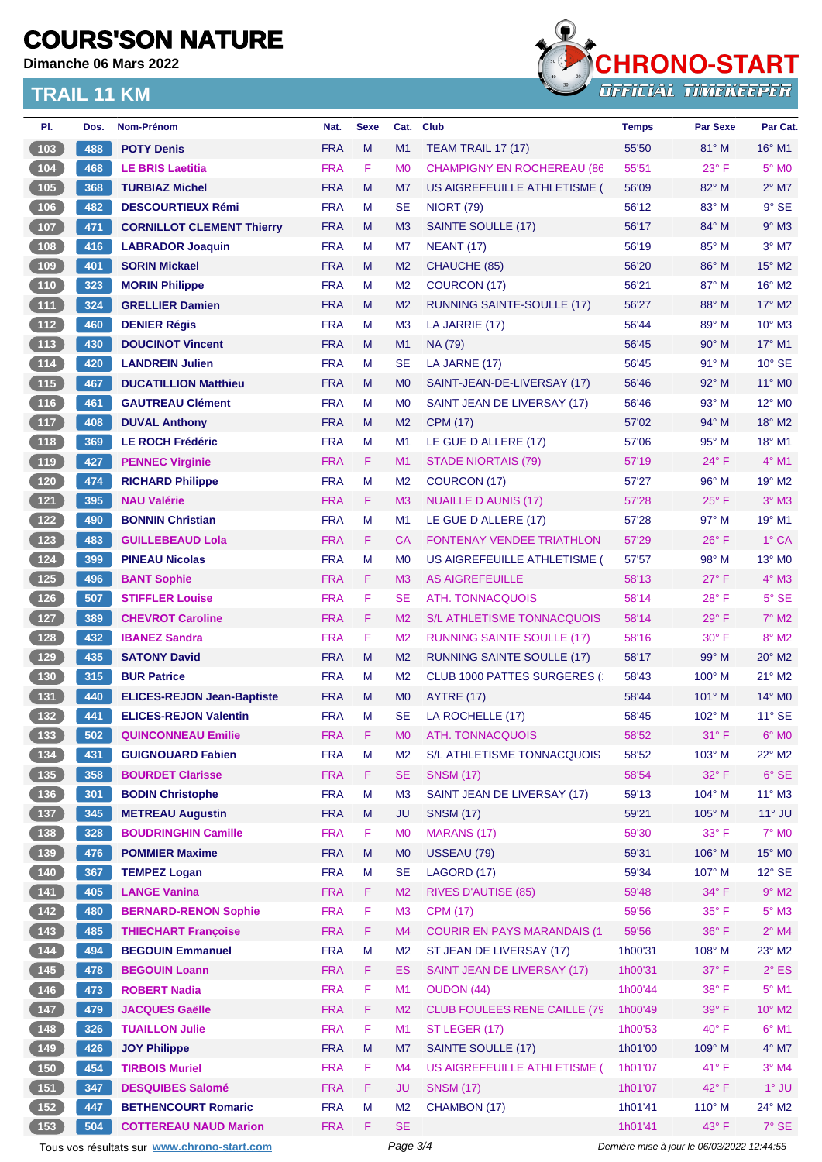**Dimanche 06 Mars 2022**



| PI.                                              | Dos. | Nom-Prénom                                  | Nat.       | <b>Sexe</b> | Cat.           | <b>Club</b>                          | <b>Temps</b> | <b>Par Sexe</b>                             | Par Cat.                  |
|--------------------------------------------------|------|---------------------------------------------|------------|-------------|----------------|--------------------------------------|--------------|---------------------------------------------|---------------------------|
| (103)                                            | 488  | <b>POTY Denis</b>                           | <b>FRA</b> | M           | M1             | <b>TEAM TRAIL 17 (17)</b>            | 55'50        | $81^\circ$ M                                | $16^{\circ}$ M1           |
| $\begin{array}{c} \hline 104 \end{array}$        | 468  | <b>LE BRIS Laetitia</b>                     | <b>FRA</b> | F           | M <sub>0</sub> | <b>CHAMPIGNY EN ROCHEREAU (86</b>    | 55'51        | $23^{\circ}$ F                              | $5^\circ$ MO              |
| 105                                              | 368  | <b>TURBIAZ Michel</b>                       | <b>FRA</b> | M           | M7             | US AIGREFEUILLE ATHLETISME (         | 56'09        | $82^{\circ}$ M                              | $2^{\circ}$ M7            |
| 106                                              | 482  | <b>DESCOURTIEUX Rémi</b>                    | <b>FRA</b> | М           | <b>SE</b>      | <b>NIORT (79)</b>                    | 56'12        | 83° M                                       | $9°$ SE                   |
| (107)                                            | 471  | <b>CORNILLOT CLEMENT Thierry</b>            | <b>FRA</b> | M           | M <sub>3</sub> | SAINTE SOULLE (17)                   | 56'17        | 84° M                                       | $9°$ M3                   |
| $\boxed{108}$                                    | 416  | <b>LABRADOR Joaquin</b>                     | <b>FRA</b> | М           | M7             | <b>NEANT (17)</b>                    | 56'19        | 85° M                                       | $3°$ M7                   |
| (109                                             | 401  | <b>SORIN Mickael</b>                        | <b>FRA</b> | M           | M <sub>2</sub> | CHAUCHE (85)                         | 56'20        | 86° M                                       | 15° M2                    |
| 110                                              | 323  | <b>MORIN Philippe</b>                       | <b>FRA</b> | М           | M <sub>2</sub> | <b>COURCON (17)</b>                  | 56'21        | $87^\circ$ M                                | $16^{\circ}$ M2           |
| (111)                                            | 324  | <b>GRELLIER Damien</b>                      | <b>FRA</b> | M           | M <sub>2</sub> | <b>RUNNING SAINTE-SOULLE (17)</b>    | 56'27        | 88° M                                       | $17^\circ$ M2             |
| $112$                                            | 460  | <b>DENIER Régis</b>                         | <b>FRA</b> | М           | M <sub>3</sub> | LA JARRIE (17)                       | 56'44        | $89^\circ$ M                                | 10° M3                    |
| (113)                                            | 430  | <b>DOUCINOT Vincent</b>                     | <b>FRA</b> | M           | M1             | NA (79)                              | 56'45        | $90^\circ$ M                                | 17° M1                    |
| (114)                                            | 420  | <b>LANDREIN Julien</b>                      | <b>FRA</b> | М           | <b>SE</b>      | LA JARNE (17)                        | 56'45        | 91° M                                       | $10^{\circ}$ SE           |
| (115)                                            | 467  | <b>DUCATILLION Matthieu</b>                 | <b>FRA</b> | M           | M <sub>0</sub> | SAINT-JEAN-DE-LIVERSAY (17)          | 56'46        | $92^\circ$ M                                | 11° MO                    |
| 116                                              | 461  | <b>GAUTREAU Clément</b>                     | <b>FRA</b> | М           | M <sub>0</sub> | SAINT JEAN DE LIVERSAY (17)          | 56'46        | $93^\circ$ M                                | $12^{\circ}$ MO           |
| $\boxed{117}$                                    | 408  | <b>DUVAL Anthony</b>                        | <b>FRA</b> | M           | M <sub>2</sub> | <b>CPM (17)</b>                      | 57'02        | 94° M                                       | $18^\circ$ M2             |
| $\begin{array}{c} \n \textbf{118}\n \end{array}$ | 369  | <b>LE ROCH Frédéric</b>                     | <b>FRA</b> | M           | M <sub>1</sub> | LE GUE D ALLERE (17)                 | 57'06        | 95° M                                       | 18° M1                    |
| (119)                                            | 427  | <b>PENNEC Virginie</b>                      | <b>FRA</b> | F.          | M1             | STADE NIORTAIS (79)                  | 57'19        | $24^{\circ}$ F                              | $4^{\circ}$ M1            |
| $120$                                            | 474  | <b>RICHARD Philippe</b>                     | <b>FRA</b> | M           | M <sub>2</sub> | COURCON (17)                         | 57'27        | 96° M                                       | 19° M2                    |
| (121)                                            | 395  | <b>NAU Valérie</b>                          | <b>FRA</b> | F           | M <sub>3</sub> | <b>NUAILLE D AUNIS (17)</b>          | 57'28        | $25^{\circ}$ F                              | $3°$ M $3$                |
| $\begin{array}{c} \n \text{122}\n \end{array}$   | 490  | <b>BONNIN Christian</b>                     | <b>FRA</b> | М           | M <sub>1</sub> | LE GUE D ALLERE (17)                 | 57'28        | $97^\circ$ M                                | $19^{\circ}$ M1           |
| $123$                                            | 483  | <b>GUILLEBEAUD Lola</b>                     | <b>FRA</b> | F.          | CA             | <b>FONTENAY VENDEE TRIATHLON</b>     | 57'29        | $26^{\circ}$ F                              | 1° CA                     |
| $124$                                            | 399  | <b>PINEAU Nicolas</b>                       | <b>FRA</b> | M           | M <sub>0</sub> | US AIGREFEUILLE ATHLETISME (         | 57'57        | 98° M                                       | $13^\circ$ M <sub>0</sub> |
| (125)                                            | 496  | <b>BANT Sophie</b>                          | <b>FRA</b> | F           | M <sub>3</sub> | <b>AS AIGREFEUILLE</b>               | 58'13        | $27^\circ$ F                                | $4^\circ$ M3              |
| $126$                                            | 507  | <b>STIFFLER Louise</b>                      | <b>FRA</b> | F           | <b>SE</b>      | <b>ATH. TONNACQUOIS</b>              | 58'14        | $28^{\circ}$ F                              | $5^\circ$ SE              |
| 127                                              | 389  | <b>CHEVROT Caroline</b>                     | <b>FRA</b> | F.          | M <sub>2</sub> | S/L ATHLETISME TONNACQUOIS           | 58'14        | $29^\circ$ F                                | $7^\circ$ M2              |
| $\boxed{128}$                                    | 432  | <b>IBANEZ Sandra</b>                        | <b>FRA</b> | F           | M <sub>2</sub> | <b>RUNNING SAINTE SOULLE (17)</b>    | 58'16        | $30^\circ$ F                                | $8^\circ$ M2              |
| (129)                                            | 435  | <b>SATONY David</b>                         | <b>FRA</b> | M           | M <sub>2</sub> | <b>RUNNING SAINTE SOULLE (17)</b>    | 58'17        | 99° M                                       | $20^\circ$ M2             |
| 130                                              | 315  | <b>BUR Patrice</b>                          | <b>FRA</b> | М           | M <sub>2</sub> | CLUB 1000 PATTES SURGERES (          | 58'43        | $100^\circ$ M                               | $21^\circ$ M2             |
| (131)                                            | 440  | <b>ELICES-REJON Jean-Baptiste</b>           | <b>FRA</b> | M           | M <sub>0</sub> | <b>AYTRE (17)</b>                    | 58'44        | $101^\circ$ M                               | $14^{\circ}$ MO           |
| 132                                              | 441  | <b>ELICES-REJON Valentin</b>                | <b>FRA</b> | М           | <b>SE</b>      | LA ROCHELLE (17)                     | 58'45        | $102^\circ$ M                               | $11^{\circ}$ SE           |
| (133)                                            | 502  | <b>QUINCONNEAU Emilie</b>                   | <b>FRA</b> | F           | M <sub>0</sub> | <b>ATH. TONNACQUOIS</b>              | 58'52        | $31^\circ$ F                                | 6° MO                     |
| 134                                              | 431  | <b>GUIGNOUARD Fabien</b>                    | <b>FRA</b> | M           | M <sub>2</sub> | S/L ATHLETISME TONNACQUOIS           | 58'52        | 103° M                                      | 22° M2                    |
| (135)                                            | 358  | <b>BOURDET Clarisse</b>                     | <b>FRA</b> | F           | <b>SE</b>      | <b>SNSM (17)</b>                     | 58'54        | 32° F                                       | $6°$ SE                   |
| $136$                                            | 301  | <b>BODIN Christophe</b>                     | <b>FRA</b> | М           | M <sub>3</sub> | SAINT JEAN DE LIVERSAY (17)          | 59'13        | 104° M                                      | $11^{\circ}$ M3           |
| (137)                                            | 345  | <b>METREAU Augustin</b>                     | <b>FRA</b> | M           | <b>JU</b>      | <b>SNSM (17)</b>                     | 59'21        | 105° M                                      | $11^\circ$ JU             |
| 138                                              | 328  | <b>BOUDRINGHIN Camille</b>                  | <b>FRA</b> | F           | M <sub>0</sub> | <b>MARANS (17)</b>                   | 59'30        | 33° F                                       | $7^\circ$ MO              |
| (139)                                            | 476  | <b>POMMIER Maxime</b>                       | <b>FRA</b> | M           | M <sub>0</sub> | USSEAU (79)                          | 59'31        | 106° M                                      | 15° MO                    |
| $\begin{array}{c} \hline 140 \end{array}$        | 367  | <b>TEMPEZ Logan</b>                         | <b>FRA</b> | M           | <b>SE</b>      | LAGORD (17)                          | 59'34        | 107° M                                      | $12^{\circ}$ SE           |
| (141)                                            | 405  | <b>LANGE Vanina</b>                         | <b>FRA</b> | F           | M <sub>2</sub> | <b>RIVES D'AUTISE (85)</b>           | 59'48        | $34^{\circ}$ F                              | $9°$ M2                   |
| $142$                                            | 480  | <b>BERNARD-RENON Sophie</b>                 | <b>FRA</b> | F           | M <sub>3</sub> | <b>CPM (17)</b>                      | 59'56        | 35° F                                       | $5^\circ$ M3              |
| (143)                                            | 485  | <b>THIECHART Françoise</b>                  | <b>FRA</b> | F           | M4             | <b>COURIR EN PAYS MARANDAIS (1)</b>  | 59'56        | 36°F                                        | $2^{\circ}$ M4            |
| $144$                                            | 494  | <b>BEGOUIN Emmanuel</b>                     | <b>FRA</b> | M           | M <sub>2</sub> | ST JEAN DE LIVERSAY (17)             | 1h00'31      | 108° M                                      | $23^\circ$ M2             |
| (145)                                            | 478  | <b>BEGOUIN Loann</b>                        | <b>FRA</b> | F.          | <b>ES</b>      | SAINT JEAN DE LIVERSAY (17)          | 1h00'31      | 37° F                                       | $2^{\circ}$ ES            |
| $146$                                            | 473  | <b>ROBERT Nadia</b>                         | <b>FRA</b> | F           | M1             | <b>OUDON (44)</b>                    | 1h00'44      | 38°F                                        | $5^\circ$ M1              |
| (147)                                            | 479  | <b>JACQUES Gaëlle</b>                       | <b>FRA</b> | F           | M <sub>2</sub> | <b>CLUB FOULEES RENE CAILLE (79)</b> | 1h00'49      | $39^\circ$ F                                | $10^{\circ}$ M2           |
| $148$                                            | 326  | <b>TUAILLON Julie</b>                       | <b>FRA</b> | F           | M1             | ST LEGER (17)                        | 1h00'53      | 40° F                                       | $6^{\circ}$ M1            |
| (149)                                            | 426  | <b>JOY Philippe</b>                         | <b>FRA</b> | M           | M7             | SAINTE SOULLE (17)                   | 1h01'00      | 109° M                                      | $4^{\circ}$ M7            |
| $\begin{array}{c} 150 \\ \end{array}$            | 454  | <b>TIRBOIS Muriel</b>                       | <b>FRA</b> | F           | M <sub>4</sub> | US AIGREFEUILLE ATHLETISME (         | 1h01'07      | 41° F                                       | $3°$ M4                   |
| (151)                                            | 347  | <b>DESQUIBES Salomé</b>                     | <b>FRA</b> | F           | <b>JU</b>      | <b>SNSM (17)</b>                     | 1h01'07      | 42°F                                        | $1^\circ$ JU              |
| $152$                                            | 447  | <b>BETHENCOURT Romaric</b>                  | <b>FRA</b> | М           | M <sub>2</sub> | CHAMBON (17)                         | 1h01'41      | $110^{\circ}$ M                             | 24° M2                    |
| 153                                              | 504  | <b>COTTEREAU NAUD Marion</b>                | <b>FRA</b> | F           | <b>SE</b>      |                                      | 1h01'41      | 43° F                                       | $7°$ SE                   |
|                                                  |      | Tous vos résultats sur www.chrono-start.com |            |             | Page 3/4       |                                      |              | Dernière mise à jour le 06/03/2022 12:44:55 |                           |